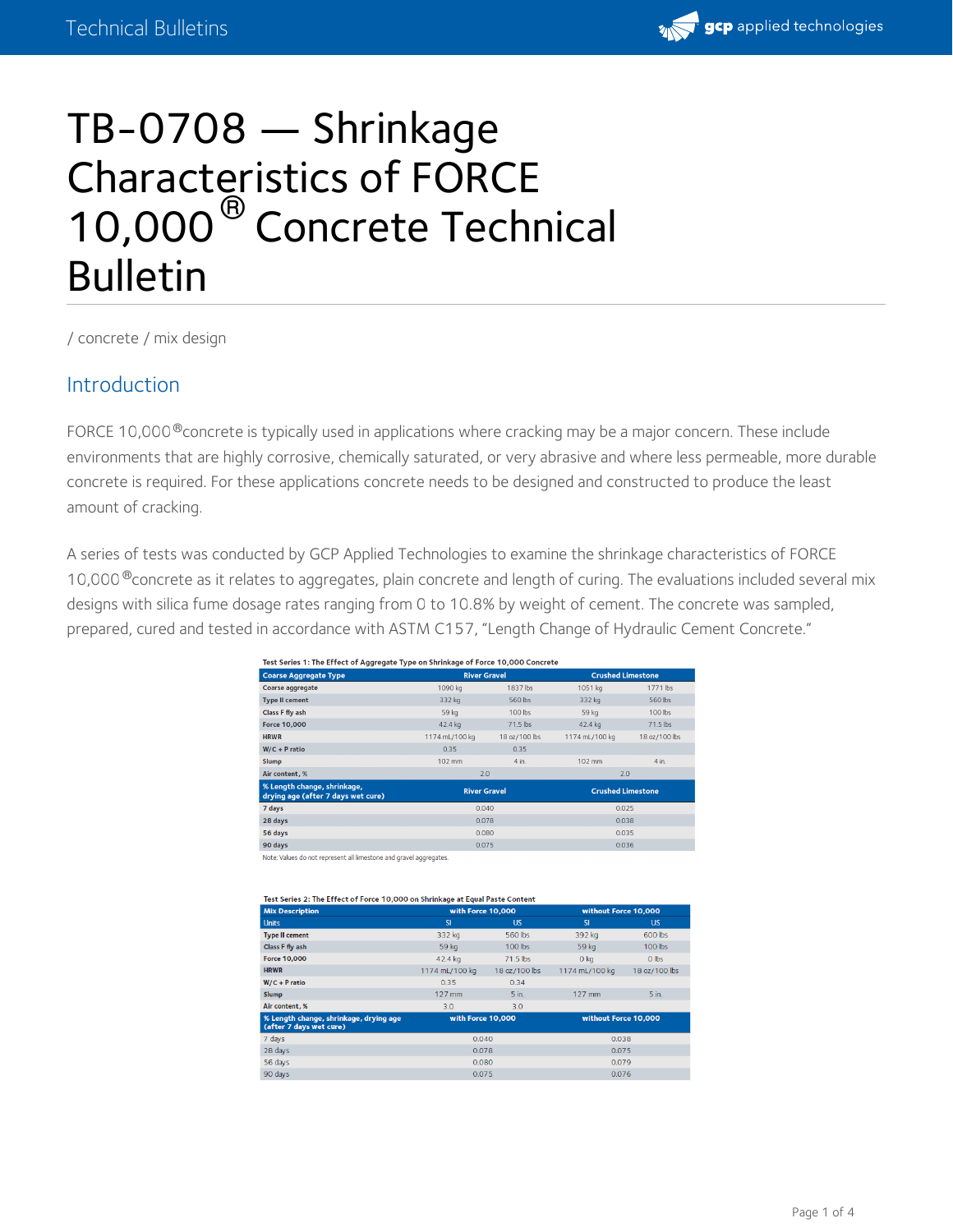

# TB-0708 — Shrinkage Characteristics of FORCE 10,000<sup>®</sup> Concrete Technical Bulletin

/ [concrete](https://gcpat.com/concrete) / mix [design](https://gcpat.com/concrete/mix-design)

#### Introduction

FORCE 10,000 $^\circledR$ concrete is typically used in applications where cracking may be a major concern. These include environments that are highly corrosive, chemically saturated, or very abrasive and where less permeable, more durable concrete is required. For these applications concrete needs to be designed and constructed to produce the least amount of cracking.

A series of tests was conducted by GCP Applied Technologies to examine the shrinkage characteristics of FORCE 10,000 $^\circ$ concrete as it relates to [aggregates,](https://gcpat.com/concrete/mix-design) plain concrete and length of curing. The evaluations included several mix designs with silica fume dosage rates ranging from 0 to 10.8% by weight of cement. The concrete was sampled, prepared, cured and tested in accordance with ASTM C157, "Length Change of Hydraulic Cement Concrete."

| Test Series 1: The Effect of Aggregate Type on Shrinkage of Force 10,000 Concrete |                     |               |                          |               |  |
|-----------------------------------------------------------------------------------|---------------------|---------------|--------------------------|---------------|--|
| <b>Coarse Aggregate Type</b>                                                      | <b>River Gravel</b> |               | <b>Crushed Limestone</b> |               |  |
| Coarse aggregate                                                                  | 1090 kg             | 1837 lbs      | 1051 kg                  | 1771 lbs      |  |
| <b>Type II cement</b>                                                             | 332 kg              | 560 lbs       | 332 kg                   | 560 lbs       |  |
| Class F fly ash                                                                   | 59 kg               | 100 lbs       | 59 kg                    | 100 lbs       |  |
| <b>Force 10,000</b>                                                               | 42.4 kg             | 71.5 lbs      | 42.4 kg                  | 71.5 lbs      |  |
| <b>HRWR</b>                                                                       | 1174 mL/100 kg      | 18 oz/100 lbs | 1174 mL/100 kg           | 18 oz/100 lbs |  |
| $W/C + P$ ratio                                                                   | 0.35                | 0.35          |                          |               |  |
| <b>Slump</b>                                                                      | $102$ mm            | $4$ in.       | $102 \text{ mm}$         | $4$ in.       |  |
| Air content, %                                                                    | 2.0                 |               | 2.0                      |               |  |
| % Length change, shrinkage,<br>drying age (after 7 days wet cure)                 | <b>River Gravel</b> |               | <b>Crushed Limestone</b> |               |  |
| 7 days                                                                            |                     | 0.040         |                          | 0.025         |  |
| 28 days                                                                           |                     | 0.078         |                          | 0.038         |  |
| 56 days                                                                           |                     | 0.080         |                          | 0.035         |  |
| 90 days                                                                           | 0.075               |               | 0.036                    |               |  |

Note: Values do not represent all limestone and gravel aggregates

| Test Series 2: The Effect of Force 10,000 on Shrinkage at Equal Paste Content |                   |               |                      |               |  |
|-------------------------------------------------------------------------------|-------------------|---------------|----------------------|---------------|--|
| <b>Mix Description</b>                                                        | with Force 10.000 |               | without Force 10.000 |               |  |
| <b>Units</b>                                                                  | <b>SI</b>         | <b>US</b>     | <b>SI</b>            | <b>US</b>     |  |
| <b>Type II cement</b>                                                         | 332 kg            | 560 lbs       | 392 kg               | 600 lbs       |  |
| Class F fly ash                                                               | 59 kg             | $100$ lbs     | 59 kg                | $100$ lbs     |  |
| <b>Force 10,000</b>                                                           | 42.4 kg           | $71.5$ lbs    | $O$ kg               | $O$ lbs       |  |
| <b>HRWR</b>                                                                   | 1174 mL/100 kg    | 18 oz/100 lbs | 1174 mL/100 kg       | 18 oz/100 lbs |  |
| $W/C + P$ ratio                                                               | 0.35              | 0.34          |                      |               |  |
| <b>Slump</b>                                                                  | $127$ mm          | 5 in.         | $127$ mm             | 5 in.         |  |
| Air content, %                                                                | 3.0               | 3.0           |                      |               |  |
| % Length change, shrinkage, drying age<br>(after 7 days wet cure)             | with Force 10,000 |               | without Force 10,000 |               |  |
| 7 days                                                                        | 0.040             |               | 0.038                |               |  |
| 28 days                                                                       | 0.078             |               | 0.075                |               |  |
| 56 days                                                                       | 0.080             |               | 0.079                |               |  |
| an days                                                                       | 0.075             |               | 0.076                |               |  |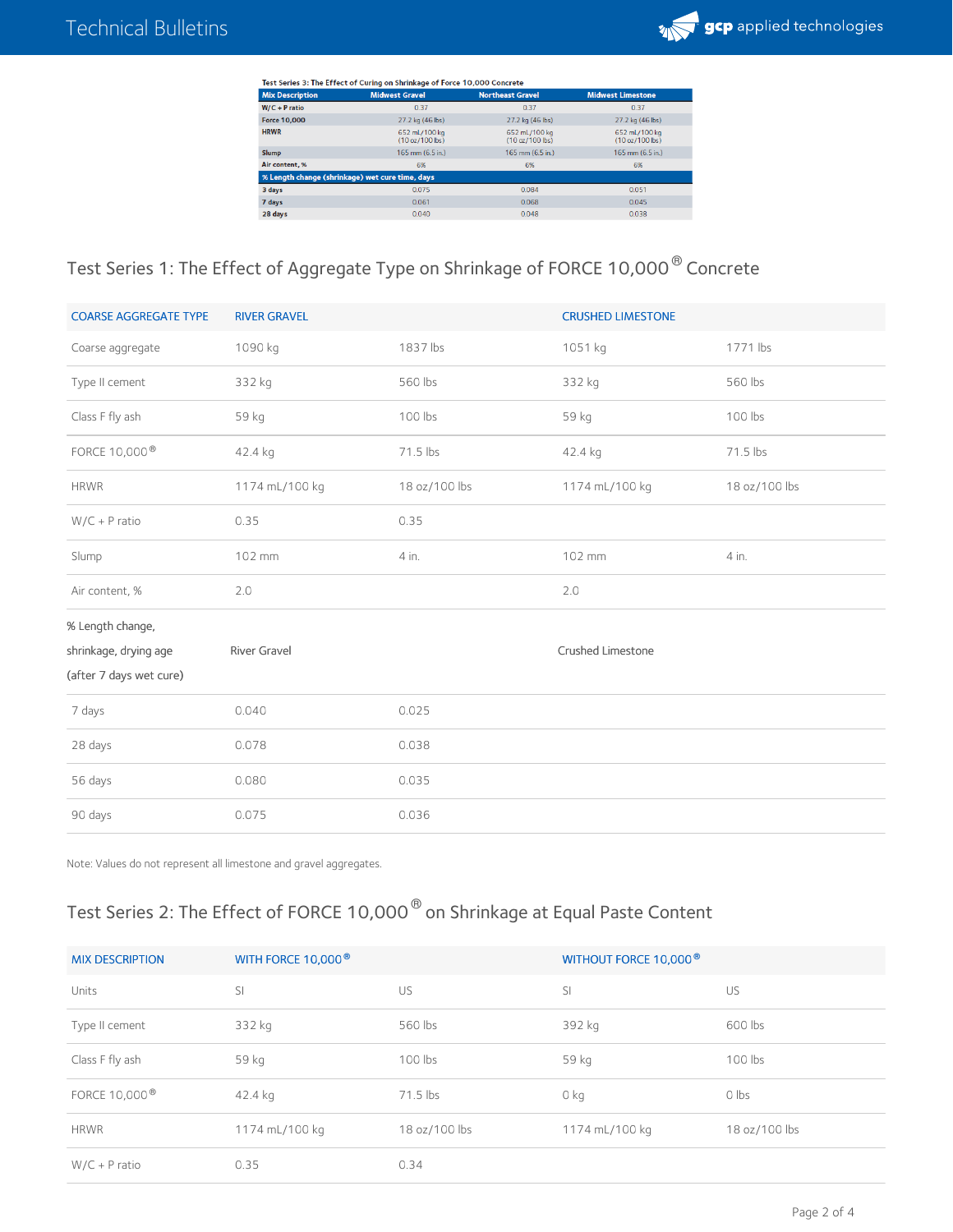

| Test Series 3: The Effect of Curing on Shrinkage of Force 10,000 Concrete |                                  |                                  |                                  |  |  |
|---------------------------------------------------------------------------|----------------------------------|----------------------------------|----------------------------------|--|--|
| <b>Mix Description</b>                                                    | <b>Midwest Gravel</b>            | <b>Northeast Gravel</b>          | <b>Midwest Limestone</b>         |  |  |
| $W/C + P$ ratio                                                           | 0.37                             | 0.37                             | 0.37                             |  |  |
| <b>Force 10,000</b>                                                       | 27.2 kg (46 lbs)                 | 27.2 kg (46 lbs)                 | 27.2 kg (46 lbs)                 |  |  |
| <b>HRWR</b>                                                               | 652 mL/100 kg<br>(10 oz/100 lbs) | 652 mL/100 kg<br>(10 oz/100 lbs) | 652 mL/100 kg<br>(10 oz/100 lbs) |  |  |
| <b>Slump</b>                                                              | $165$ mm $(6.5$ in.)             | $165$ mm $(6.5$ in.)             | $165$ mm $(6.5$ in.)             |  |  |
| Air content, %                                                            | 6%                               | 6%                               | 6%                               |  |  |
| % Length change (shrinkage) wet cure time, days                           |                                  |                                  |                                  |  |  |
| 3 days                                                                    | 0.075                            | 0.084                            | 0.051                            |  |  |
| 7 days                                                                    | 0.061                            | 0.068                            | 0.045                            |  |  |
| 28 days                                                                   | 0.040                            | 0.048                            | 0.038                            |  |  |

## Test Series 1: The Effect of Aggregate Type on Shrinkage of FORCE 10,000  $^\circledR$  Concrete

| <b>COARSE AGGREGATE TYPE</b> | <b>RIVER GRAVEL</b> |               | <b>CRUSHED LIMESTONE</b> |               |
|------------------------------|---------------------|---------------|--------------------------|---------------|
| Coarse aggregate             | 1090 kg             | 1837 lbs      | 1051 kg                  | 1771 lbs      |
| Type II cement               | 332 kg              | 560 lbs       | 332 kg                   | 560 lbs       |
| Class F fly ash              | 59 kg               | 100 lbs       | 59 kg                    | 100 lbs       |
| FORCE 10,000 <sup>®</sup>    | 42.4 kg             | 71.5 lbs      | 42.4 kg                  | 71.5 lbs      |
| <b>HRWR</b>                  | 1174 mL/100 kg      | 18 oz/100 lbs | 1174 mL/100 kg           | 18 oz/100 lbs |
| $W/C + P$ ratio              | 0.35                | 0.35          |                          |               |
| Slump                        | 102 mm              | 4 in.         | 102 mm                   | 4 in.         |
| Air content, %               | 2.0                 |               | 2.0                      |               |
| % Length change,             |                     |               |                          |               |
| shrinkage, drying age        | River Gravel        |               | Crushed Limestone        |               |
| (after 7 days wet cure)      |                     |               |                          |               |
| 7 days                       | 0.040               | 0.025         |                          |               |
| 28 days                      | 0.078               | 0.038         |                          |               |
| 56 days                      | 0.080               | 0.035         |                          |               |
| 90 days                      | 0.075               | 0.036         |                          |               |

Note: Values do not represent all limestone and gravel aggregates.

## Test Series 2: The Effect of FORCE 10,000  $^\circledast$  on Shrinkage at Equal Paste Content

| <b>MIX DESCRIPTION</b>    | WITH FORCE 10,000 <sup>®</sup> |               | WITHOUT FORCE 10,000 <sup>®</sup> |               |
|---------------------------|--------------------------------|---------------|-----------------------------------|---------------|
| Units                     | <sup>SI</sup>                  | US            | SI                                | US            |
| Type II cement            | 332 kg                         | 560 lbs       | 392 kg                            | 600 lbs       |
| Class F fly ash           | 59 kg                          | 100 lbs       | 59 kg                             | 100 lbs       |
| FORCE 10,000 <sup>®</sup> | 42.4 kg                        | 71.5 lbs      | 0 kg                              | $0$ lbs       |
| <b>HRWR</b>               | 1174 mL/100 kg                 | 18 oz/100 lbs | 1174 mL/100 kg                    | 18 oz/100 lbs |
| $W/C + P$ ratio           | 0.35                           | 0.34          |                                   |               |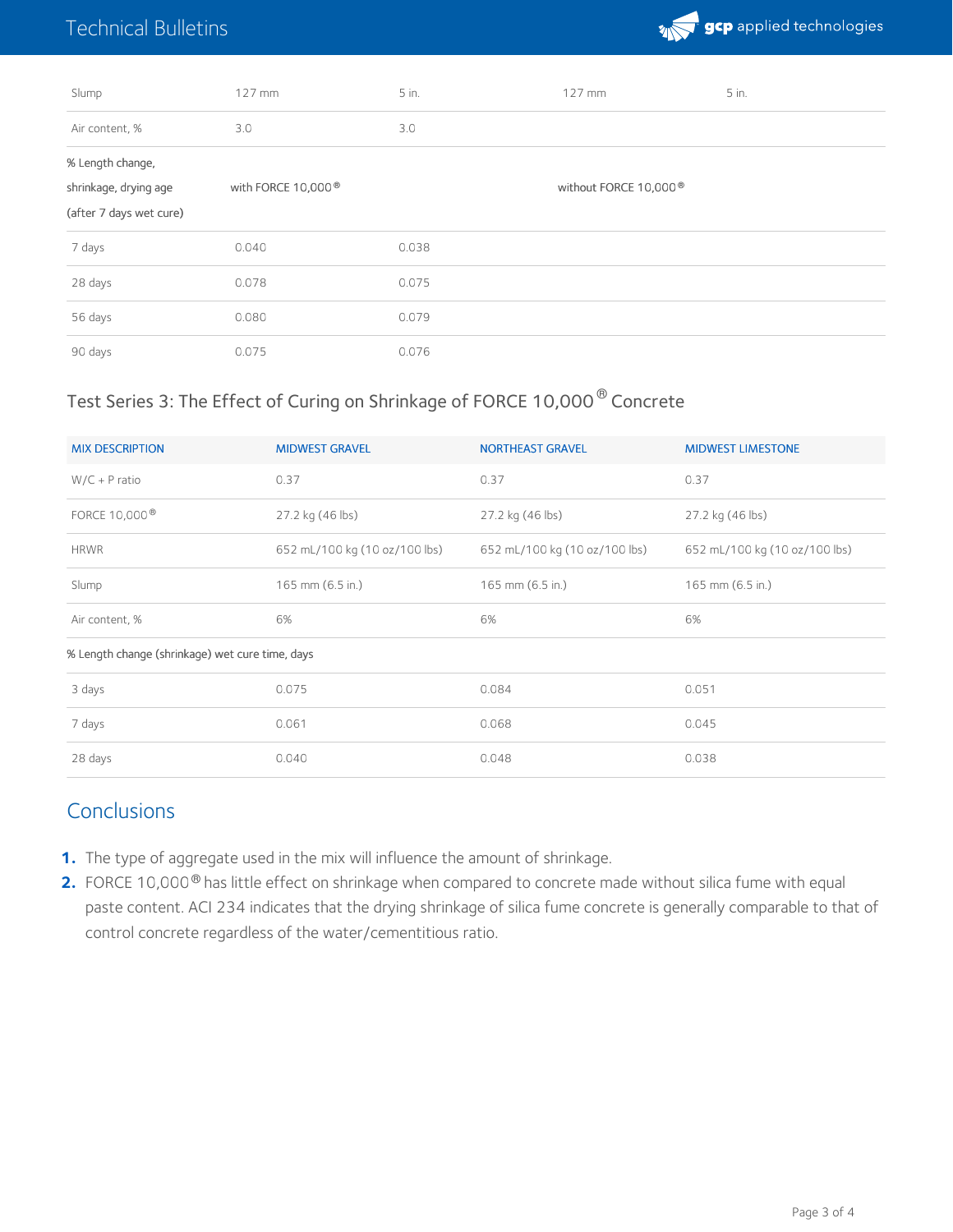# Technical Bulletins



| Slump                                                                | $127$ mm                       | 5 in. | $127$ mm                          | 5 in. |
|----------------------------------------------------------------------|--------------------------------|-------|-----------------------------------|-------|
| Air content, %                                                       | 3.0                            | 3.0   |                                   |       |
| % Length change,<br>shrinkage, drying age<br>(after 7 days wet cure) | with FORCE 10,000 <sup>®</sup> |       | without FORCE 10,000 <sup>®</sup> |       |
| 7 days                                                               | 0.040                          | 0.038 |                                   |       |
| 28 days                                                              | 0.078                          | 0.075 |                                   |       |
| 56 days                                                              | 0.080                          | 0.079 |                                   |       |
| 90 days                                                              | 0.075                          | 0.076 |                                   |       |

### Test Series 3: The Effect of Curing on Shrinkage of FORCE 10,000  $^\circledR$  Concrete

| <b>MIX DESCRIPTION</b>                          | <b>MIDWEST GRAVEL</b>         | <b>NORTHEAST GRAVEL</b>       | <b>MIDWEST LIMESTONE</b>      |
|-------------------------------------------------|-------------------------------|-------------------------------|-------------------------------|
| $W/C + P$ ratio                                 | 0.37                          | 0.37                          | 0.37                          |
| FORCE 10,000 <sup>®</sup>                       | 27.2 kg (46 lbs)              | 27.2 kg (46 lbs)              | 27.2 kg (46 lbs)              |
| <b>HRWR</b>                                     | 652 mL/100 kg (10 oz/100 lbs) | 652 mL/100 kg (10 oz/100 lbs) | 652 mL/100 kg (10 oz/100 lbs) |
| Slump                                           | 165 mm (6.5 in.)              | 165 mm (6.5 in.)              | 165 mm (6.5 in.)              |
| Air content, %                                  | 6%                            | 6%                            | 6%                            |
| % Length change (shrinkage) wet cure time, days |                               |                               |                               |
| 3 days                                          | 0.075                         | 0.084                         | 0.051                         |
| 7 days                                          | 0.061                         | 0.068                         | 0.045                         |
| 28 days                                         | 0.040                         | 0.048                         | 0.038                         |

## **Conclusions**

- **1.** The type of aggregate used in the mix will influence the amount of shrinkage.
- **2.** FORCE 10,000<sup>®</sup> has little effect on shrinkage when compared to concrete made without silica fume with equal paste content. ACI 234 indicates that the drying shrinkage of silica fume concrete is generally comparable to that of control concrete regardless of the water/cementitious ratio.